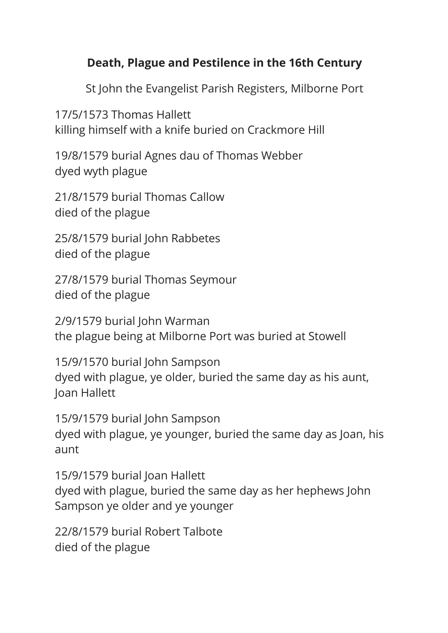## **Death, Plague and Pestilence in the 16th Century**

St John the Evangelist Parish Registers, Milborne Port

17/5/1573 Thomas Hallett killing himself with a knife buried on Crackmore Hill

19/8/1579 burial Agnes dau of Thomas Webber dyed wyth plague

21/8/1579 burial Thomas Callow died of the plague

25/8/1579 burial John Rabbetes died of the plague

27/8/1579 burial Thomas Seymour died of the plague

2/9/1579 burial John Warman the plague being at Milborne Port was buried at Stowell

15/9/1570 burial John Sampson dyed with plague, ye older, buried the same day as his aunt, Joan Hallett

15/9/1579 burial John Sampson dyed with plague, ye younger, buried the same day as Joan, his aunt

15/9/1579 burial Joan Hallett dyed with plague, buried the same day as her hephews John Sampson ye older and ye younger

22/8/1579 burial Robert Talbote died of the plague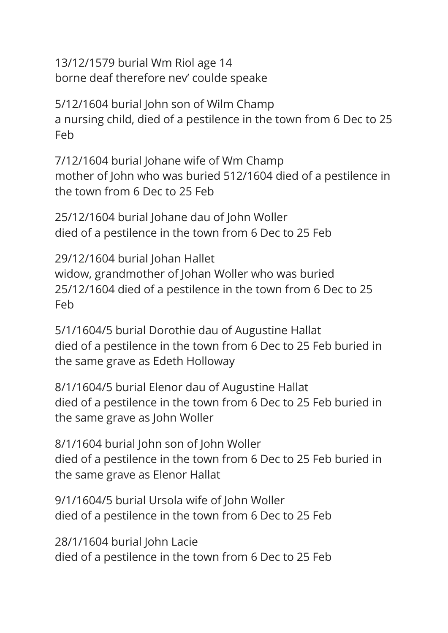13/12/1579 burial Wm Riol age 14 borne deaf therefore nev' coulde speake

5/12/1604 burial John son of Wilm Champ a nursing child, died of a pestilence in the town from 6 Dec to 25 Feb

7/12/1604 burial Johane wife of Wm Champ mother of John who was buried 512/1604 died of a pestilence in the town from 6 Dec to 25 Feb

25/12/1604 burial Johane dau of John Woller died of a pestilence in the town from 6 Dec to 25 Feb

29/12/1604 burial Johan Hallet widow, grandmother of Johan Woller who was buried 25/12/1604 died of a pestilence in the town from 6 Dec to 25 Feb

5/1/1604/5 burial Dorothie dau of Augustine Hallat died of a pestilence in the town from 6 Dec to 25 Feb buried in the same grave as Edeth Holloway

8/1/1604/5 burial Elenor dau of Augustine Hallat died of a pestilence in the town from 6 Dec to 25 Feb buried in the same grave as John Woller

8/1/1604 burial John son of John Woller died of a pestilence in the town from 6 Dec to 25 Feb buried in the same grave as Elenor Hallat

9/1/1604/5 burial Ursola wife of John Woller died of a pestilence in the town from 6 Dec to 25 Feb

28/1/1604 burial John Lacie died of a pestilence in the town from 6 Dec to 25 Feb